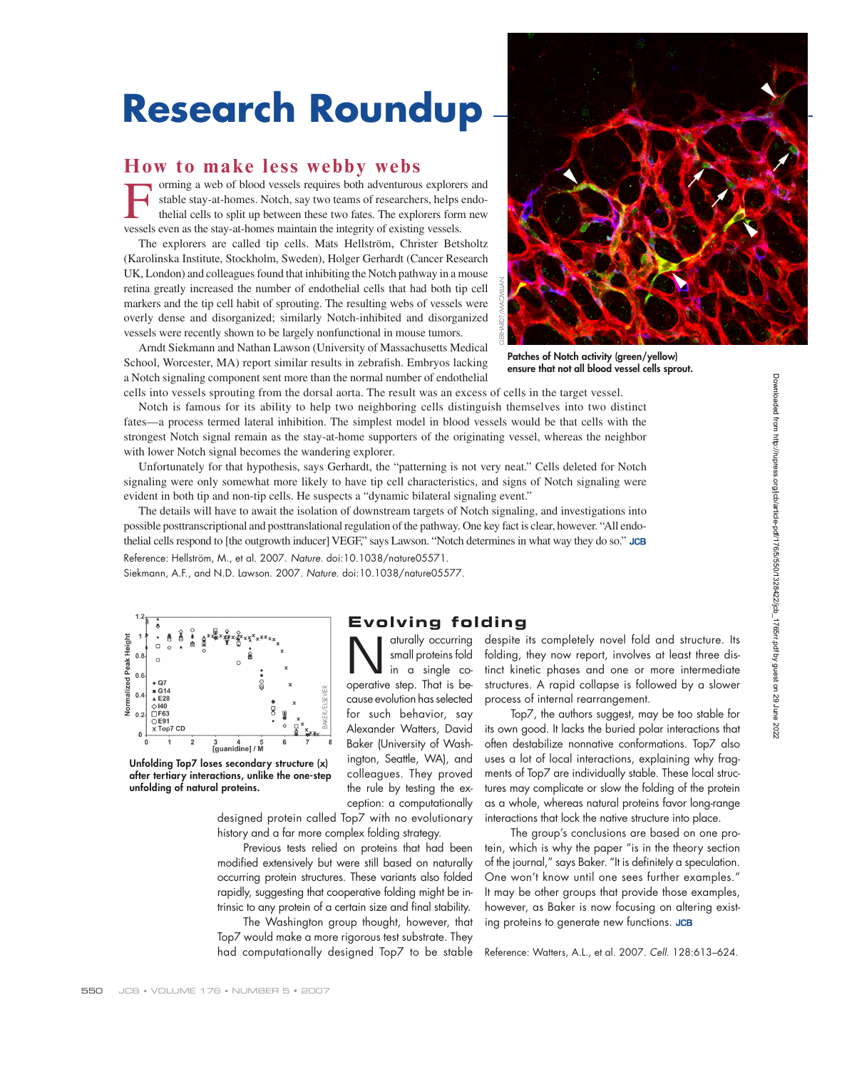# **Research Roundup**

### **How to make less webby webs**

Forming a web of blood vessels requires both adventurous explorers and stable stay-at-homes. Notch, say two teams of researchers, helps endo-<br>thelial cells to split up between these two fates. The explorers form new<br>vessel stable stay-at-homes. Notch, say two teams of researchers, helps endothelial cells to split up between these two fates. The explorers form new vessels even as the stay-at-homes maintain the integrity of existing vessels.

The explorers are called tip cells. Mats Hellström, Christer Betsholtz (Karolinska Institute, Stockholm, Sweden), Holger Gerhardt (Cancer Research UK, London) and colleagues found that inhibiting the Notch pathway in a mouse retina greatly increased the number of endothelial cells that had both tip cell markers and the tip cell habit of sprouting. The resulting webs of vessels were overly dense and disorganized; similarly Notch-inhibited and disorganized vessels were recently shown to be largely nonfunctional in mouse tumors.

Arndt Siekmann and Nathan Lawson (University of Massachusetts Medical School, Worcester, MA) report similar results in zebrafish. Embryos lacking a Notch signaling component sent more than the normal number of endothelial



**Patches of Notch activity (green/yellow) ensure that not all blood vessel cells sprout.**

cells into vessels sprouting from the dorsal aorta. The result was an excess of cells in the target vessel. Notch is famous for its ability to help two neighboring cells distinguish themselves into two distinct fates—a process termed lateral inhibition. The simplest model in blood vessels would be that cells with the strongest Notch signal remain as the stay-at-home supporters of the originating vessel, whereas the neighbor with lower Notch signal becomes the wandering explorer.

Unfortunately for that hypothesis, says Gerhardt, the "patterning is not very neat." Cells deleted for Notch signaling were only somewhat more likely to have tip cell characteristics, and signs of Notch signaling were evident in both tip and non-tip cells. He suspects a "dynamic bilateral signaling event."

The details will have to await the isolation of downstream targets of Notch signaling, and investigations into possible posttranscriptional and posttranslational regulation of the pathway. One key fact is clear, however. "All endothe lial cells respond to [the outgrowth inducer] VEGF," says Lawson. "Notch determines in what way they do so." JCB

Reference: Hellström, M., et al. 2007. Nature. doi:10.1038/nature05571. Siekmann, A.F., and N.D. Lawson. 2007. Nature. doi:10.1038/nature05577.



**Unfolding Top7 loses secondary structure (x) after tertiary interactions, unlike the one-step unfolding of natural proteins.**

designed protein called Top7 with no evolutionary history and a far more complex folding strategy.

Previous tests relied on proteins that had been modified extensively but were still based on naturally occurring protein structures. These variants also folded rapidly, suggesting that cooperative folding might be intrinsic to any protein of a certain size and final stability.

The Washington group thought, however, that Top7 would make a more rigorous test substrate. They had computationally designed Top7 to be stable

#### **Evolving folding**

Alex ander Watters, David Baker (University of Washington, Seattle, WA), and colleagues. They proved the rule by testing the exception: a computationally

 $\sum_{\substack{\text{and} \\ \text{in } \alpha \text{ single } \\ \text{concentration} \\ \text{that is the } \\ \text{in } \beta}} \text{atually occurring}$ small proteins fold operative step. That is because evolution has selected for such behavior, say despite its completely novel fold and structure. Its folding, they now report, involves at least three distinct kinetic phases and one or more intermediate structures. A rapid collapse is followed by a slower process of internal rearrangement. Top7, the authors suggest, may be too stable for

its own good. It lacks the buried polar interactions that often destabilize nonnative conformations. Top7 also uses a lot of local interactions, explaining why fragments of Top7 are individually stable. These local structures may complicate or slow the folding of the protein as a whole, whereas natural proteins favor long-range interactions that lock the native structure into place.

The group's conclusions are based on one protein, which is why the paper "is in the theory section of the journal," says Baker. "It is definitely a speculation. One won't know until one sees further examples." It may be other groups that provide those examples, however, as Baker is now focusing on altering existing proteins to generate new functions. JCB

Reference: Watters, A.L., et al. 2007. Cell. 128:613–624.